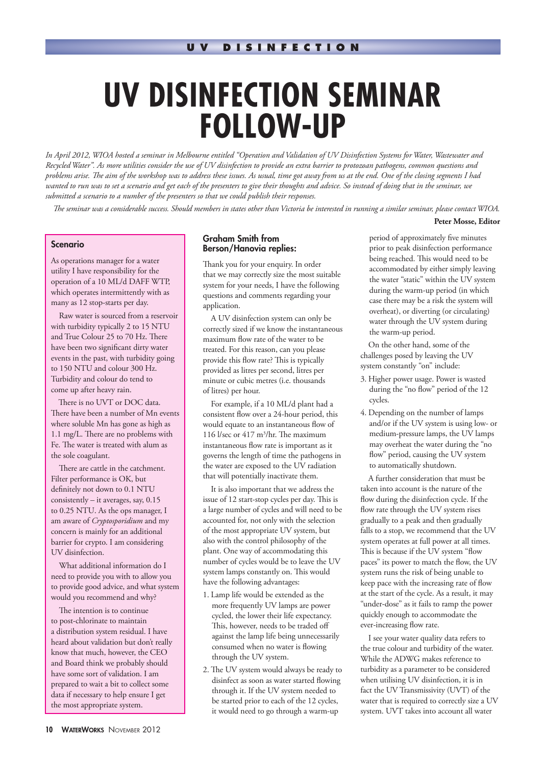# **UV DISINFECTION SEMINAR FOLLOW-UP**

*In April 2012, WIOA hosted a seminar in Melbourne entitled "Operation and Validation of UV Disinfection Systems for Water, Wastewater and Recycled Water". As more utilities consider the use of UV disinfection to provide an extra barrier to protozoan pathogens, common questions and problems arise. !e aim of the workshop was to address these issues. As usual, time got away from us at the end. One of the closing segments I had wanted to run was to set a scenario and get each of the presenters to give their thoughts and advice. So instead of doing that in the seminar, we submitted a scenario to a number of the presenters so that we could publish their responses.* 

*!e seminar was a considerable success. Should members in states other than Victoria be interested in running a similar seminar, please contact WIOA.*

#### **Peter Mosse, Editor**

### **Scenario**

As operations manager for a water utility I have responsibility for the operation of a 10 ML/d DAFF WTP, which operates intermittently with as many as 12 stop-starts per day.

Raw water is sourced from a reservoir with turbidity typically 2 to 15 NTU and True Colour 25 to 70 Hz. There have been two significant dirty water events in the past, with turbidity going to 150 NTU and colour 300 Hz. Turbidity and colour do tend to come up after heavy rain.

There is no UVT or DOC data. There have been a number of Mn events where soluble Mn has gone as high as 1.1 mg/L. There are no problems with Fe. The water is treated with alum as the sole coagulant.

There are cattle in the catchment. Filter performance is OK, but definitely not down to 0.1 NTU consistently – it averages, say, 0.15 to 0.25 NTU. As the ops manager, I am aware of *Cryptosporidium* and my concern is mainly for an additional barrier for crypto. I am considering UV disinfection.

What additional information do I need to provide you with to allow you to provide good advice, and what system would you recommend and why?

The intention is to continue to post-chlorinate to maintain a distribution system residual. I have heard about validation but don't really know that much, however, the CEO and Board think we probably should have some sort of validation. I am prepared to wait a bit to collect some data if necessary to help ensure I get the most appropriate system.

### Graham Smith from Berson/Hanovia replies:

Thank you for your enquiry. In order that we may correctly size the most suitable system for your needs, I have the following questions and comments regarding your application.

A UV disinfection system can only be correctly sized if we know the instantaneous maximum flow rate of the water to be treated. For this reason, can you please provide this flow rate? This is typically provided as litres per second, litres per minute or cubic metres (i.e. thousands of litres) per hour.

For example, if a 10 ML/d plant had a consistent flow over a 24-hour period, this would equate to an instantaneous flow of 116 l/sec or  $417 \text{ m}^3/\text{hr}$ . The maximum instantaneous flow rate is important as it governs the length of time the pathogens in the water are exposed to the UV radiation that will potentially inactivate them.

It is also important that we address the issue of 12 start-stop cycles per day. This is a large number of cycles and will need to be accounted for, not only with the selection of the most appropriate UV system, but also with the control philosophy of the plant. One way of accommodating this number of cycles would be to leave the UV system lamps constantly on. This would have the following advantages:

- 1. Lamp life would be extended as the more frequently UV lamps are power cycled, the lower their life expectancy. This, however, needs to be traded off against the lamp life being unnecessarily consumed when no water is flowing through the UV system.
- 2. The UV system would always be ready to disinfect as soon as water started flowing through it. If the UV system needed to be started prior to each of the 12 cycles, it would need to go through a warm-up

period of approximately five minutes prior to peak disinfection performance being reached. This would need to be accommodated by either simply leaving the water "static" within the UV system during the warm-up period (in which case there may be a risk the system will overheat), or diverting (or circulating) water through the UV system during the warm-up period.

On the other hand, some of the challenges posed by leaving the UV system constantly "on" include:

- 3. Higher power usage. Power is wasted during the "no flow" period of the 12 cycles.
- 4. Depending on the number of lamps and/or if the UV system is using low- or medium-pressure lamps, the UV lamps may overheat the water during the "no flow" period, causing the UV system to automatically shutdown.

A further consideration that must be taken into account is the nature of the flow during the disinfection cycle. If the flow rate through the UV system rises gradually to a peak and then gradually falls to a stop, we recommend that the UV system operates at full power at all times. This is because if the UV system "flow paces" its power to match the flow, the UV system runs the risk of being unable to keep pace with the increasing rate of flow at the start of the cycle. As a result, it may "under-dose" as it fails to ramp the power quickly enough to accommodate the ever-increasing flow rate.

I see your water quality data refers to the true colour and turbidity of the water. While the ADWG makes reference to turbidity as a parameter to be considered when utilising UV disinfection, it is in fact the UV Transmissivity (UVT) of the water that is required to correctly size a UV system. UVT takes into account all water